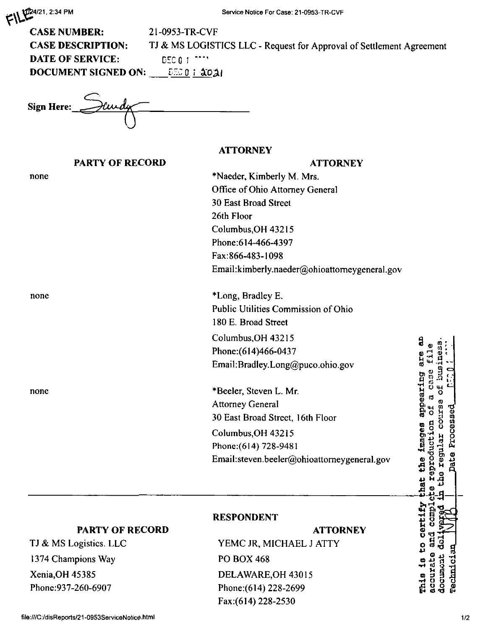| $\mathbb{Z}$   $\mathbb{Z}^{24/21, 2:34 \text{ PM}}$ |  |
|------------------------------------------------------|--|
|                                                      |  |

| <b>CASE NUMBER:</b>      | 21-0953-TR-CVF                                                       |
|--------------------------|----------------------------------------------------------------------|
| <b>CASE DESCRIPTION:</b> | TJ & MS LOGISTICS LLC - Request for Approval of Settlement Agreement |
| <b>DATE OF SERVICE:</b>  | LGEC 0.1 PRIM                                                        |
| DOCUMENT SIGNED ON:      | <b>EEO I AOAI</b>                                                    |
|                          |                                                                      |

Sign Here: Sundy

## **ATTORNEY**

| <b>PARTY OF RECORD</b> | <b>ATTORNEY</b>                               |
|------------------------|-----------------------------------------------|
| none                   | *Naeder, Kimberly M. Mrs.                     |
|                        | Office of Ohio Attorney General               |
|                        | <b>30 East Broad Street</b>                   |
|                        | 26th Floor                                    |
|                        | Columbus, OH 43215                            |
|                        | Phone: 614-466-4397                           |
|                        | Fax:866-483-1098                              |
|                        | Email:kimberly.naeder@ohioattorneygeneral.gov |
| none                   | *Long, Bradley E.                             |
|                        | Public Utilities Commission of Ohio           |
|                        | 180 E. Broad Street                           |
|                        | Columbus, OH 43215                            |
|                        | Phone: (614) 466-0437                         |
|                        | Email:Bradley.Long@puco.ohio.gov              |
| none                   | *Beeler, Steven L. Mr.                        |
|                        | <b>Attorney General</b>                       |
|                        | 30 East Broad Street, 16th Floor              |
|                        | Columbus, OH 43215                            |
|                        | Phone: (614) 728-9481                         |
|                        | Email:steven.beeler@ohioattorneygeneral.gov   |
|                        |                                               |

## **PARTY OF RECORD**

## **RESPONDENT**

|                         | <b>ATTORNEY</b> |
|-------------------------|-----------------|
| YEMC JR, MICHAEL J ATTY |                 |
| PO BOX 468              |                 |
| DELAWARE, OH 43015      |                 |
| Phone: (614) 228-2699   |                 |
| Fax: (614) 228-2530     |                 |

file:///C:/disReports/21-0953ServiceNotice.html

TJ & MS Logistics. LLC

1374 Champions Way

Xenia, OH 45385 Phone: 937-260-6907 This is to certify that the images appearing are an

m  $\mathbf 0$ nes. fil.

प्रेट a case Ъ

the regular course e reproduction of

g ť

g

rechnician document

camp.

accurate and

Date Processed